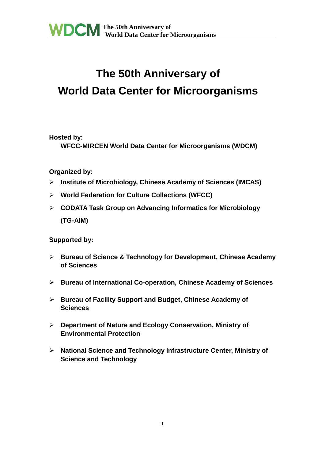#### **Hosted by:**

**WFCC-MIRCEN World Data Center for Microorganisms (WDCM)**

#### **Organized by:**

- **Institute of Microbiology, Chinese Academy of Sciences (IMCAS)**
- **World Federation for Culture Collections (WFCC)**
- **CODATA Task Group on Advancing Informatics for Microbiology (TG-AIM)**

**Supported by:**

- **Bureau of Science & Technology for Development, Chinese Academy of Sciences**
- **Bureau of International Co-operation, Chinese Academy of Sciences**
- **Bureau of Facility Support and Budget, Chinese Academy of Sciences**
- **Department of Nature and Ecology Conservation, Ministry of Environmental Protection**
- **National Science and Technology Infrastructure Center, Ministry of Science and Technology**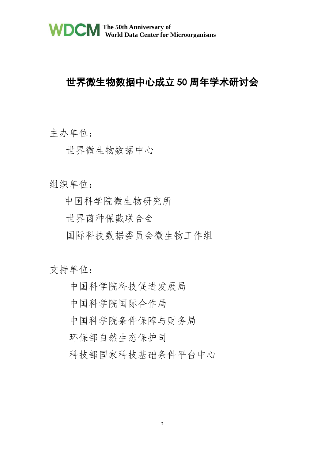# 世界微生物数据中心成立 50 周年学术研讨会

主办单位:

世界微生物数据中心

组织单位:

中国科学院微生物研究所

世界菌种保藏联合会

国际科技数据委员会微生物工作组

支持单位:

中国科学院科技促进发展局

中国科学院国际合作局

中国科学院条件保障与财务局

环保部自然生态保护司

科技部国家科技基础条件平台中心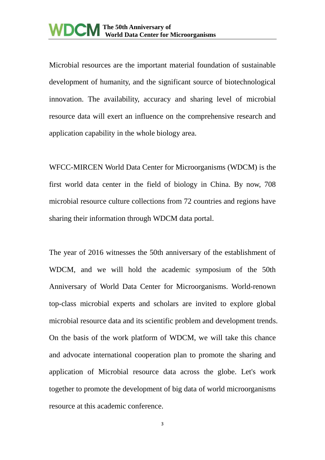Microbial resources are the important material foundation of sustainable development of humanity, and the significant source of biotechnological innovation. The availability, accuracy and sharing level of microbial resource data will exert an influence on the comprehensive research and application capability in the whole biology area.

WFCC-MIRCEN World Data Center for Microorganisms (WDCM) is the first world data center in the field of biology in China. By now, 708 microbial resource culture collections from 72 countries and regions have sharing their information through WDCM data portal.

The year of 2016 witnesses the 50th anniversary of the establishment of WDCM, and we will hold the academic symposium of the 50th Anniversary of World Data Center for Microorganisms. World-renown top-class microbial experts and scholars are invited to explore global microbial resource data and its scientific problem and development trends. On the basis of the work platform of WDCM, we will take this chance and advocate international cooperation plan to promote the sharing and application of Microbial resource data across the globe. Let's work together to promote the development of big data of world microorganisms resource at this academic conference.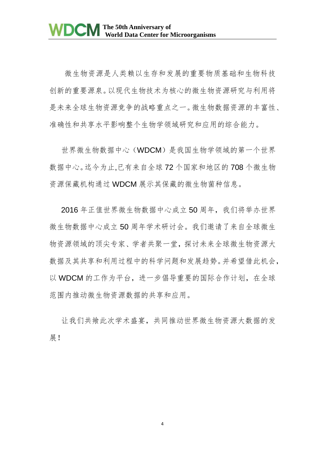微生物资源是人类赖以生存和发展的重要物质基础和生物科技 创新的重要源泉。以现代生物技术为核心的微生物资源研究与利用将 是未来全球生物资源竞争的战略重点之一。微生物数据资源的丰富性、 准确性和共享水平影响整个生物学领域研究和应用的综合能力。

世界微生物数据中心(WDCM)是我国生物学领域的第一个世界 数据中心。迄今为止,已有来自全球 72 个国家和地区的 708 个微生物 资源保藏机构通过 WDCM 展示其保藏的微生物菌种信息。

2016 年正值世界微生物数据中心成立 50 周年,我们将举办世界 微生物数据中心成立 50 周年学术研讨会。我们邀请了来自全球微生 物资源领域的顶尖专家、学者共聚一堂,探讨未来全球微生物资源大 数据及其共享和利用过程中的科学问题和发展趋势。并希望借此机会, 以 WDCM 的工作为平台, 进一步倡导重要的国际合作计划, 在全球 范围内推动微生物资源数据的共享和应用。

让我们共飨此次学术盛宴,共同推动世界微生物资源大数据的发 展!

4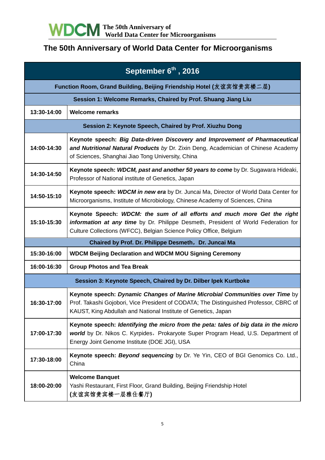| September 6 <sup>th</sup> , 2016                                    |                                                                                                                                                                                                                                          |  |
|---------------------------------------------------------------------|------------------------------------------------------------------------------------------------------------------------------------------------------------------------------------------------------------------------------------------|--|
| Function Room, Grand Building, Beijing Friendship Hotel (友谊宾馆贵宾楼二层) |                                                                                                                                                                                                                                          |  |
| Session 1: Welcome Remarks, Chaired by Prof. Shuang Jiang Liu       |                                                                                                                                                                                                                                          |  |
| 13:30-14:00                                                         | <b>Welcome remarks</b>                                                                                                                                                                                                                   |  |
| Session 2: Keynote Speech, Chaired by Prof. Xiuzhu Dong             |                                                                                                                                                                                                                                          |  |
| 14:00-14:30                                                         | Keynote speech: Big Data-driven Discovery and Improvement of Pharmaceutical<br>and Nutritional Natural Products by Dr. Zixin Deng, Academician of Chinese Academy<br>of Sciences, Shanghai Jiao Tong University, China                   |  |
| 14:30-14:50                                                         | Keynote speech: WDCM, past and another 50 years to come by Dr. Sugawara Hideaki,<br>Professor of National institute of Genetics, Japan                                                                                                   |  |
| 14:50-15:10                                                         | Keynote speech: WDCM in new era by Dr. Juncai Ma, Director of World Data Center for<br>Microorganisms, Institute of Microbiology, Chinese Academy of Sciences, China                                                                     |  |
| 15:10-15:30                                                         | Keynote Speech: WDCM: the sum of all efforts and much more Get the right<br>information at any time by Dr. Philippe Desmeth, President of World Federation for<br>Culture Collections (WFCC), Belgian Science Policy Office, Belgium     |  |
|                                                                     | Chaired by Prof. Dr. Philippe Desmeth, Dr. Juncai Ma                                                                                                                                                                                     |  |
| 15:30-16:00                                                         | <b>WDCM Beijing Declaration and WDCM MOU Signing Ceremony</b>                                                                                                                                                                            |  |
| 16:00-16:30                                                         | <b>Group Photos and Tea Break</b>                                                                                                                                                                                                        |  |
|                                                                     | Session 3: Keynote Speech, Chaired by Dr. Dilber Ipek Kurtboke                                                                                                                                                                           |  |
| 16:30-17:00                                                         | Keynote speech: Dynamic Changes of Marine Microbial Communities over Time by<br>Prof. Takashi Gojobori, Vice President of CODATA; The Distinguished Professor, CBRC of<br>KAUST, King Abdullah and National Institute of Genetics, Japan |  |
| 17:00-17:30                                                         | Keynote speech: Identifying the micro from the peta: tales of big data in the micro<br>world by Dr. Nikos C. Kyrpides, Prokaryote Super Program Head, U.S. Department of<br>Energy Joint Genome Institute (DOE JGI), USA                 |  |
| 17:30-18:00                                                         | Keynote speech: Beyond sequencing by Dr. Ye Yin, CEO of BGI Genomics Co. Ltd.,<br>China                                                                                                                                                  |  |
| 18:00-20:00                                                         | <b>Welcome Banquet</b><br>Yashi Restaurant, First Floor, Grand Building, Beijing Friendship Hotel<br>(友谊宾馆贵宾楼一层雅仕餐厅)                                                                                                                     |  |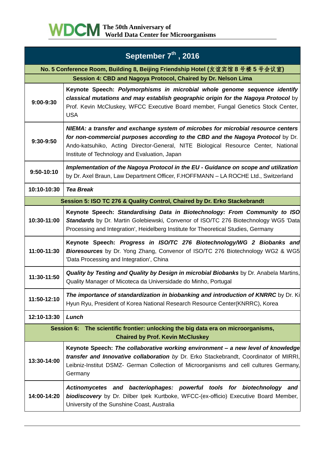

| September 7th, 2016                                                                                                          |                                                                                                                                                                                                                                                                                                            |  |
|------------------------------------------------------------------------------------------------------------------------------|------------------------------------------------------------------------------------------------------------------------------------------------------------------------------------------------------------------------------------------------------------------------------------------------------------|--|
| No. 5 Conference Room, Building 8, Beijing Friendship Hotel (友谊宾馆 8 号楼 5 号会议室)                                               |                                                                                                                                                                                                                                                                                                            |  |
|                                                                                                                              | Session 4: CBD and Nagoya Protocol, Chaired by Dr. Nelson Lima                                                                                                                                                                                                                                             |  |
| $9:00-9:30$                                                                                                                  | Keynote Speech: Polymorphisms in microbial whole genome sequence identify<br>classical mutations and may establish geographic origin for the Nagoya Protocol by<br>Prof. Kevin McCluskey, WFCC Executive Board member, Fungal Genetics Stock Center,<br><b>USA</b>                                         |  |
| 9:30-9:50                                                                                                                    | NIEMA: a transfer and exchange system of microbes for microbial resource centers<br>for non-commercial purposes according to the CBD and the Nagoya Protocol by Dr.<br>Ando-katsuhiko, Acting Director-General, NITE Biological Resource Center, National<br>Institute of Technology and Evaluation, Japan |  |
| 9:50-10:10                                                                                                                   | Implementation of the Nagoya Protocol in the EU - Guidance on scope and utilization<br>by Dr. Axel Braun, Law Department Officer, F.HOFFMANN - LA ROCHE Ltd., Switzerland                                                                                                                                  |  |
| 10:10-10:30                                                                                                                  | <b>Tea Break</b>                                                                                                                                                                                                                                                                                           |  |
| Session 5: ISO TC 276 & Quality Control, Chaired by Dr. Erko Stackebrandt                                                    |                                                                                                                                                                                                                                                                                                            |  |
| 10:30-11:00                                                                                                                  | Keynote Speech: Standardising Data in Biotechnology: From Community to ISO<br>Standards by Dr. Martin Golebiewski, Convenor of ISO/TC 276 Biotechnology WG5 'Data<br>Processing and Integration', Heidelberg Institute for Theoretical Studies, Germany                                                    |  |
| 11:00-11:30                                                                                                                  | Keynote Speech: Progress in ISO/TC 276 Biotechnology/WG 2 Biobanks and<br>Bioresources by Dr. Yong Zhang, Convenor of ISO/TC 276 Biotechnology WG2 & WG5<br>'Data Processing and Integration', China                                                                                                       |  |
| 11:30-11:50                                                                                                                  | Quality by Testing and Quality by Design in microbial Biobanks by Dr. Anabela Martins,<br>Quality Manager of Micoteca da Universidade do Minho, Portugal                                                                                                                                                   |  |
| 11:50-12:10                                                                                                                  | The importance of standardization in biobanking and introduction of KNRRC by Dr. Ki<br>Hyun Ryu, President of Korea National Research Resource Center(KNRRC), Korea                                                                                                                                        |  |
| 12:10-13:30                                                                                                                  | Lunch                                                                                                                                                                                                                                                                                                      |  |
| Session 6: The scientific frontier: unlocking the big data era on microorganisms,<br><b>Chaired by Prof. Kevin McCluskey</b> |                                                                                                                                                                                                                                                                                                            |  |
| 13:30-14:00                                                                                                                  | Keynote Speech: The collaborative working environment - a new level of knowledge<br>transfer and Innovative collaboration by Dr. Erko Stackebrandt, Coordinator of MIRRI,<br>Leibniz-Institut DSMZ- German Collection of Microorganisms and cell cultures Germany,<br>Germany                              |  |
| 14:00-14:20                                                                                                                  | Actinomycetes and bacteriophages: powerful tools for biotechnology<br>and<br><b>biodiscovery</b> by Dr. Dilber Ipek Kurtboke, WFCC-(ex-officio) Executive Board Member,<br>University of the Sunshine Coast, Australia                                                                                     |  |

6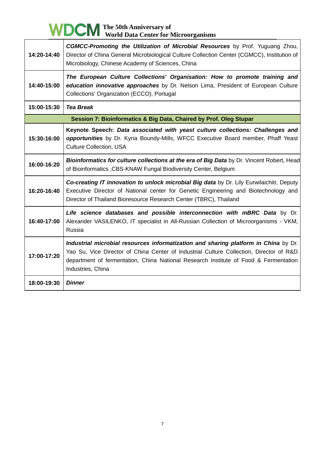| 14:20-14:40                                                        | <b>CGMCC-Promoting the Utilization of Microbial Resources</b> by Prof. Yuguang Zhou,<br>Director of China General Microbiological Culture Collection Center (CGMCC), Institution of<br>Microbiology, Chinese Academy of Sciences, China                                                     |  |
|--------------------------------------------------------------------|---------------------------------------------------------------------------------------------------------------------------------------------------------------------------------------------------------------------------------------------------------------------------------------------|--|
| 14:40-15:00                                                        | The European Culture Collections' Organisation: How to promote training and<br>education innovative approaches by Dr. Nelson Lima, President of European Culture<br>Collections' Organization (ECCO), Portugal                                                                              |  |
| 15:00-15:30                                                        | <b>Tea Break</b>                                                                                                                                                                                                                                                                            |  |
| Session 7: Bioinformatics & Big Data, Chaired by Prof. Oleg Stupar |                                                                                                                                                                                                                                                                                             |  |
| 15:30-16:00                                                        | Keynote Speech: Data associated with yeast culture collections: Challenges and<br>opportunities by Dr. Kyria Boundy-Mills, WFCC Executive Board member, Phaff Yeast<br><b>Culture Collection, USA</b>                                                                                       |  |
| 16:00-16:20                                                        | Bioinformatics for culture collections at the era of Big Data by Dr. Vincent Robert, Head<br>of Bioinformatics, CBS-KNAW Fungal Biodiversity Center, Belgium                                                                                                                                |  |
| 16:20-16:40                                                        | Co-creating IT innovation to unlock microbial Big data by Dr. Lily Eurwilaichitr, Deputy<br>Executive Director of National center for Genetic Engineering and Biotechnology and<br>Director of Thailand Bioresource Research Center (TBRC), Thailand                                        |  |
| 16:40-17:00                                                        | Life science databases and possible interconnection with mBRC Data by Dr.<br>Alexander VASILENKO, IT specialist in All-Russian Collection of Microorganisms - VKM,<br>Russia                                                                                                                |  |
| 17:00-17:20                                                        | Industrial microbial resources informatization and sharing platform in China by Dr.<br>Yao Su, Vice Director of China Center of Industrial Culture Collection, Director of R&D<br>department of fermentation, China National Research Institute of Food & Fermentation<br>Industries, China |  |
| 18:00-19:30                                                        | <b>Dinner</b>                                                                                                                                                                                                                                                                               |  |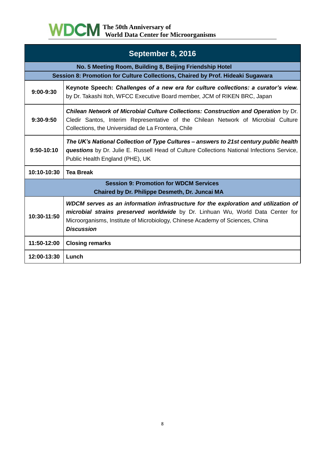

| September 8, 2016                                                                               |                                                                                                                                                                                                                                                                             |  |
|-------------------------------------------------------------------------------------------------|-----------------------------------------------------------------------------------------------------------------------------------------------------------------------------------------------------------------------------------------------------------------------------|--|
| No. 5 Meeting Room, Building 8, Beijing Friendship Hotel                                        |                                                                                                                                                                                                                                                                             |  |
|                                                                                                 | Session 8: Promotion for Culture Collections, Chaired by Prof. Hideaki Sugawara                                                                                                                                                                                             |  |
| $9:00-9:30$                                                                                     | Keynote Speech: Challenges of a new era for culture collections: a curator's view.<br>by Dr. Takashi Itoh, WFCC Executive Board member, JCM of RIKEN BRC, Japan                                                                                                             |  |
| $9:30-9:50$                                                                                     | Chilean Network of Microbial Culture Collections: Construction and Operation by Dr.<br>Cledir Santos, Interim Representative of the Chilean Network of Microbial Culture<br>Collections, the Universidad de La Frontera, Chile                                              |  |
| $9:50-10:10$                                                                                    | The UK's National Collection of Type Cultures - answers to 21st century public health<br>questions by Dr. Julie E. Russell Head of Culture Collections National Infections Service,<br>Public Health England (PHE), UK                                                      |  |
| 10:10-10:30                                                                                     | <b>Tea Break</b>                                                                                                                                                                                                                                                            |  |
| <b>Session 9: Promotion for WDCM Services</b><br>Chaired by Dr. Philippe Desmeth, Dr. Juncai MA |                                                                                                                                                                                                                                                                             |  |
| 10:30-11:50                                                                                     | WDCM serves as an information infrastructure for the exploration and utilization of<br>microbial strains preserved worldwide by Dr. Linhuan Wu, World Data Center for<br>Microorganisms, Institute of Microbiology, Chinese Academy of Sciences, China<br><b>Discussion</b> |  |
| 11:50-12:00                                                                                     | <b>Closing remarks</b>                                                                                                                                                                                                                                                      |  |
| 12:00-13:30                                                                                     | Lunch                                                                                                                                                                                                                                                                       |  |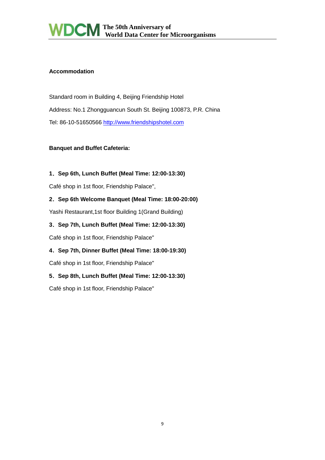#### **Accommodation**

Standard room in Building 4, Beijing Friendship Hotel Address: No.1 Zhongguancun South St. Beijing 100873, P.R. China Tel: 86-10-51650566 [http://www.friendshipshotel.com](http://www.friendshipshotel.com/)

#### **Banquet and Buffet Cafeteria:**

#### **1**.**Sep 6th, Lunch Buffet (Meal Time: 12:00-13:30)**

Café shop in 1st floor, Friendship Palace",

#### **2**.**Sep 6th Welcome Banquet (Meal Time: 18:00-20:00)**

Yashi Restaurant,1st floor Building 1(Grand Building)

#### **3**.**Sep 7th, Lunch Buffet (Meal Time: 12:00-13:30)**

Café shop in 1st floor, Friendship Palace"

#### **4**.**Sep 7th, Dinner Buffet (Meal Time: 18:00-19:30)**

Café shop in 1st floor, Friendship Palace"

#### **5**.**Sep 8th, Lunch Buffet (Meal Time: 12:00-13:30)**

Café shop in 1st floor, Friendship Palace"